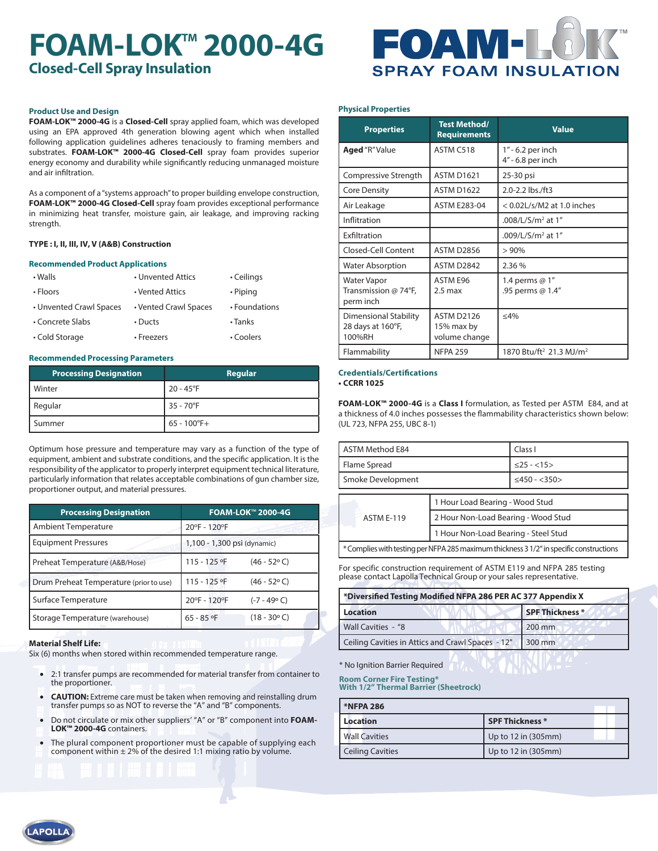# **FOAM-LOK<sup>™</sup> 2000-4G Closed-Cell Spray Insulation**



## **Product Use and Design**

**FOAM-LOK™ 2000-4G** is a **Closed-Cell** spray applied foam, which was developed using an EPA approved 4th generation blowing agent which when installed following application guidelines adheres tenaciously to framing members and substrates. **FOAM-LOK™ 2000-4G Closed-Cell** spray foam provides superior energy economy and durability while significantly reducing unmanaged moisture and air infiltration.

As a component of a "systems approach" to proper building envelope construction, **FOAM-LOK™ 2000-4G Closed-Cell** spray foam provides exceptional performance in minimizing heat transfer, moisture gain, air leakage, and improving racking strength.

## **TYPE : I, II, III, IV, V (A&B) Construction**

## **Recommended Product Applications**

| • Walls                 | • Unvented Attics     | • Ceilings    |
|-------------------------|-----------------------|---------------|
| • Floors                | • Vented Attics       | • Piping      |
| • Unvented Crawl Spaces | • Vented Crawl Spaces | • Foundations |
| • Concrete Slabs        | $\cdot$ Ducts         | $\cdot$ Tanks |
| • Cold Storage          | • Freezers            | • Coolers     |

### **Recommended Processing Parameters**

| <b>Processing Designation</b> | Regular            |
|-------------------------------|--------------------|
| Winter                        | $20 - 45^{\circ}F$ |
| Regular                       | $35 - 70^{\circ}F$ |
| Summer                        | $65 - 100$ °F+     |

Optimum hose pressure and temperature may vary as a function of the type of equipment, ambient and substrate conditions, and the specific application. It is the responsibility of the applicator to properly interpret equipment technical literature, particularly information that relates acceptable combinations of gun chamber size, proportioner output, and material pressures.

| <b>Processing Designation</b>                                                                                                      | <b>FOAM-LOK™ 2000-4G</b>              |
|------------------------------------------------------------------------------------------------------------------------------------|---------------------------------------|
| <b>Ambient Temperature</b>                                                                                                         | 20°F - 120°F                          |
| <b>Equipment Pressures</b>                                                                                                         | 1,100 - 1,300 psi (dynamic)           |
| Preheat Temperature (A&B/Hose)                                                                                                     | 115 - 125 °F<br>$(46 - 52^{\circ} C)$ |
| Drum Preheat Temperature (prior to use)                                                                                            | 115 - 125 °F<br>$(46 - 52^{\circ} C)$ |
| Surface Temperature                                                                                                                | 20°F - 120°F<br>$(-7 - 49° C)$        |
| Storage Temperature (warehouse)<br>the contract of the contract of the contract of the contract of the contract of the contract of | $(18 - 30^{\circ} C)$<br>65 - 85 °F   |

## **Material Shelf Life:**

Six (6) months when stored within recommended temperature range.

- 2:1 transfer pumps are recommended for material transfer from container to the proportioner.
- **CAUTION:** Extreme care must be taken when removing and reinstalling drum transfer pumps so as NOT to reverse the "A" and "B" components.
- Do not circulate or mix other suppliers' "A" or "B" component into **FOAM-LOK™ 2000-4G** containers.
- The plural component proportioner must be capable of supplying each component within  $\pm 2\%$  of the desired 1:1 mixing ratio by volume.

### **Physical Properties**

| <b>Properties</b>                                           | <b>Test Method/</b><br><b>Requirements</b> | <b>Value</b>                                    |
|-------------------------------------------------------------|--------------------------------------------|-------------------------------------------------|
| <b>Aged</b> "R" Value                                       | ASTM C518                                  | 1" - 6.2 per inch<br>4" - 6.8 per inch          |
| Compressive Strength                                        | <b>ASTM D1621</b>                          | 25-30 psi                                       |
| <b>Core Density</b>                                         | <b>ASTM D1622</b>                          | 2.0-2.2 lbs./ft3                                |
| Air Leakage                                                 | <b>ASTM E283-04</b>                        | $<$ 0.02L/s/M2 at 1.0 inches                    |
| Inflitration                                                |                                            | .008/L/S/m <sup>2</sup> at 1"                   |
| Exfiltration                                                |                                            | .009/L/S/m <sup>2</sup> at $1''$                |
| Closed-Cell Content                                         | <b>ASTM D2856</b>                          | >90%                                            |
| Water Absorption                                            | ASTM D2842                                 | 2.36 %                                          |
| Water Vapor<br>Transmission @ 74°F,<br>perm inch            | ASTM E96<br>$2.5 \text{ max}$              | 1.4 perms $@1"$<br>.95 perms @ 1.4"             |
| <b>Dimensional Stability</b><br>28 days at 160°F,<br>100%RH | ASTM D2126<br>15% max by<br>volume change  | $<$ 4%                                          |
| Flammability                                                | <b>NFPA 259</b>                            | 1870 Btu/ft <sup>2</sup> 21.3 MJ/m <sup>2</sup> |

### **Credentials/Certifications • CCRR 1025**

**FOAM-LOK™ 2000-4G** is a **Class I** formulation, as Tested per ASTM E84, and at a thickness of 4.0 inches possesses the flammability characteristics shown below: (UL 723, NFPA 255, UBC 8-1)

| ASTM Method E84                 |                                      | Class I            |
|---------------------------------|--------------------------------------|--------------------|
| Flame Spread                    |                                      | $<25 - <15>$       |
| Smoke Development               |                                      | $\leq$ 450 - <350> |
| 1 Hour Load Bearing - Wood Stud |                                      |                    |
| <b>ASTM F-119</b>               |                                      |                    |
|                                 | 2 Hour Non-Load Bearing - Wood Stud  |                    |
|                                 | 1 Hour Non-Load Bearing - Steel Stud |                    |

\* Complies with testing per NFPA 285 maximum thickness 3 1/2" in specific constructions

For specific construction requirement of ASTM E119 and NFPA 285 testing please contact Lapolla Technical Group or your sales representative.

| *Diversified Testing Modified NFPA 286 PER AC 377 Appendix X |                 |  |
|--------------------------------------------------------------|-----------------|--|
| Location                                                     | SPF Thickness * |  |
| Wall Cavities - "8                                           | 200 mm          |  |
| Ceiling Cavities in Attics and Crawl Spaces - 12"            | $1300$ mm       |  |

\* No Ignition Barrier Required

**Room Corner Fire Testing\* With 1/2" Thermal Barrier (Sheetrock)**

**\*NFPA 286**

| *NFPA 286               |                        |
|-------------------------|------------------------|
| Location                | <b>SPF Thickness</b> * |
| <b>Wall Cavities</b>    | Up to 12 in (305mm)    |
| <b>Ceiling Cavities</b> | Up to 12 in (305mm)    |